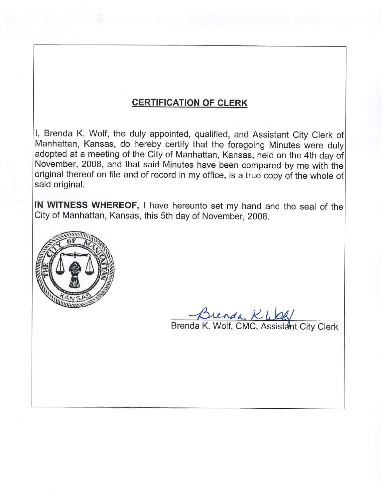### **CERTIFICATION OF CLERK**

I, Brenda K. Wolf, the duly appointed, qualified, and Assistant City Clerk of Manhattan, Kansas, do hereby certify that the foregoing Minutes were duly adopted at a meeting of the City of Manhattan, Kansas, held on the 4th day of November, 2008, and that said Minutes have been compared by me with the original thereof on file and of record in my office, is a true copy of the whole of said original.

IN WITNESS WHEREOF, I have hereunto set my hand and the seal of the City of Manhattan, Kansas, this 5th day of November, 2008.



Brenda K-WOG/<br>Brenda K. Wolf, CMC, Assistant City Clerk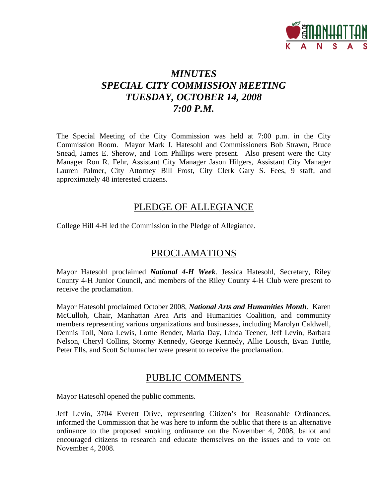

# *MINUTES SPECIAL CITY COMMISSION MEETING TUESDAY, OCTOBER 14, 2008 7:00 P.M.*

The Special Meeting of the City Commission was held at 7:00 p.m. in the City Commission Room. Mayor Mark J. Hatesohl and Commissioners Bob Strawn, Bruce Snead, James E. Sherow, and Tom Phillips were present. Also present were the City Manager Ron R. Fehr, Assistant City Manager Jason Hilgers, Assistant City Manager Lauren Palmer, City Attorney Bill Frost, City Clerk Gary S. Fees, 9 staff, and approximately 48 interested citizens.

### PLEDGE OF ALLEGIANCE

College Hill 4-H led the Commission in the Pledge of Allegiance.

### PROCLAMATIONS

Mayor Hatesohl proclaimed *National 4-H Week*. Jessica Hatesohl, Secretary, Riley County 4-H Junior Council, and members of the Riley County 4-H Club were present to receive the proclamation.

Mayor Hatesohl proclaimed October 2008, *National Arts and Humanities Month*. Karen McCulloh, Chair, Manhattan Area Arts and Humanities Coalition, and community members representing various organizations and businesses, including Marolyn Caldwell, Dennis Toll, Nora Lewis, Lorne Render, Marla Day, Linda Teener, Jeff Levin, Barbara Nelson, Cheryl Collins, Stormy Kennedy, George Kennedy, Allie Lousch, Evan Tuttle, Peter Ells, and Scott Schumacher were present to receive the proclamation.

### PUBLIC COMMENTS

Mayor Hatesohl opened the public comments.

Jeff Levin, 3704 Everett Drive, representing Citizen's for Reasonable Ordinances, informed the Commission that he was here to inform the public that there is an alternative ordinance to the proposed smoking ordinance on the November 4, 2008, ballot and encouraged citizens to research and educate themselves on the issues and to vote on November 4, 2008.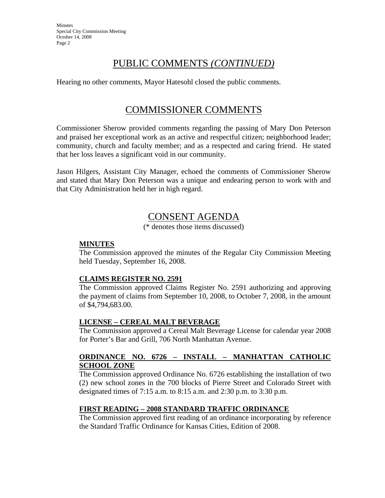## PUBLIC COMMENTS *(CONTINUED)*

Hearing no other comments, Mayor Hatesohl closed the public comments.

## COMMISSIONER COMMENTS

Commissioner Sherow provided comments regarding the passing of Mary Don Peterson and praised her exceptional work as an active and respectful citizen; neighborhood leader; community, church and faculty member; and as a respected and caring friend. He stated that her loss leaves a significant void in our community.

Jason Hilgers, Assistant City Manager, echoed the comments of Commissioner Sherow and stated that Mary Don Peterson was a unique and endearing person to work with and that City Administration held her in high regard.

# CONSENT AGENDA

(\* denotes those items discussed)

### **MINUTES**

The Commission approved the minutes of the Regular City Commission Meeting held Tuesday, September 16, 2008.

### **CLAIMS REGISTER NO. 2591**

The Commission approved Claims Register No. 2591 authorizing and approving the payment of claims from September 10, 2008, to October 7, 2008, in the amount of \$4,794,683.00.

### **LICENSE – CEREAL MALT BEVERAGE**

The Commission approved a Cereal Malt Beverage License for calendar year 2008 for Porter's Bar and Grill, 706 North Manhattan Avenue.

#### **ORDINANCE NO. 6726 – INSTALL – MANHATTAN CATHOLIC SCHOOL ZONE**

The Commission approved Ordinance No. 6726 establishing the installation of two (2) new school zones in the 700 blocks of Pierre Street and Colorado Street with designated times of 7:15 a.m. to 8:15 a.m. and 2:30 p.m. to 3:30 p.m.

### **FIRST READING – 2008 STANDARD TRAFFIC ORDINANCE**

The Commission approved first reading of an ordinance incorporating by reference the Standard Traffic Ordinance for Kansas Cities, Edition of 2008.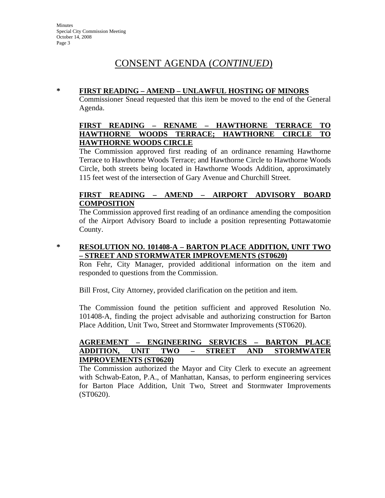### **\* FIRST READING – AMEND – UNLAWFUL HOSTING OF MINORS**

Commissioner Snead requested that this item be moved to the end of the General Agenda.

### **FIRST READING – RENAME – HAWTHORNE TERRACE TO HAWTHORNE WOODS TERRACE; HAWTHORNE CIRCLE TO HAWTHORNE WOODS CIRCLE**

The Commission approved first reading of an ordinance renaming Hawthorne Terrace to Hawthorne Woods Terrace; and Hawthorne Circle to Hawthorne Woods Circle, both streets being located in Hawthorne Woods Addition, approximately 115 feet west of the intersection of Gary Avenue and Churchill Street.

### **FIRST READING – AMEND – AIRPORT ADVISORY BOARD COMPOSITION**

The Commission approved first reading of an ordinance amending the composition of the Airport Advisory Board to include a position representing Pottawatomie County.

**\* RESOLUTION NO. 101408-A – BARTON PLACE ADDITION, UNIT TWO – STREET AND STORMWATER IMPROVEMENTS (ST0620)**

Ron Fehr, City Manager, provided additional information on the item and responded to questions from the Commission.

Bill Frost, City Attorney, provided clarification on the petition and item.

The Commission found the petition sufficient and approved Resolution No. 101408-A, finding the project advisable and authorizing construction for Barton Place Addition, Unit Two, Street and Stormwater Improvements (ST0620).

### **AGREEMENT – ENGINEERING SERVICES – BARTON PLACE ADDITION, UNIT TWO – STREET AND STORMWATER IMPROVEMENTS (ST0620)**

The Commission authorized the Mayor and City Clerk to execute an agreement with Schwab-Eaton, P.A., of Manhattan, Kansas, to perform engineering services for Barton Place Addition, Unit Two, Street and Stormwater Improvements (ST0620).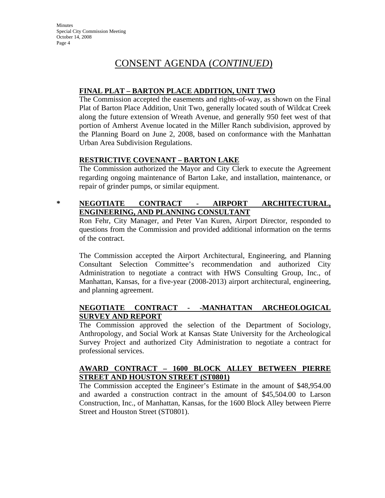### **FINAL PLAT – BARTON PLACE ADDITION, UNIT TWO**

The Commission accepted the easements and rights-of-way, as shown on the Final Plat of Barton Place Addition, Unit Two, generally located south of Wildcat Creek along the future extension of Wreath Avenue, and generally 950 feet west of that portion of Amherst Avenue located in the Miller Ranch subdivision, approved by the Planning Board on June 2, 2008, based on conformance with the Manhattan Urban Area Subdivision Regulations.

### **RESTRICTIVE COVENANT – BARTON LAKE**

The Commission authorized the Mayor and City Clerk to execute the Agreement regarding ongoing maintenance of Barton Lake, and installation, maintenance, or repair of grinder pumps, or similar equipment.

### **\* NEGOTIATE CONTRACT - AIRPORT ARCHITECTURAL, ENGINEERING, AND PLANNING CONSULTANT**

Ron Fehr, City Manager, and Peter Van Kuren, Airport Director, responded to questions from the Commission and provided additional information on the terms of the contract.

The Commission accepted the Airport Architectural, Engineering, and Planning Consultant Selection Committee's recommendation and authorized City Administration to negotiate a contract with HWS Consulting Group, Inc., of Manhattan, Kansas, for a five-year (2008-2013) airport architectural, engineering, and planning agreement.

### **NEGOTIATE CONTRACT - -MANHATTAN ARCHEOLOGICAL SURVEY AND REPORT**

The Commission approved the selection of the Department of Sociology, Anthropology, and Social Work at Kansas State University for the Archeological Survey Project and authorized City Administration to negotiate a contract for professional services.

### **AWARD CONTRACT – 1600 BLOCK ALLEY BETWEEN PIERRE STREET AND HOUSTON STREET (ST0801)**

The Commission accepted the Engineer's Estimate in the amount of \$48,954.00 and awarded a construction contract in the amount of \$45,504.00 to Larson Construction, Inc., of Manhattan, Kansas, for the 1600 Block Alley between Pierre Street and Houston Street (ST0801).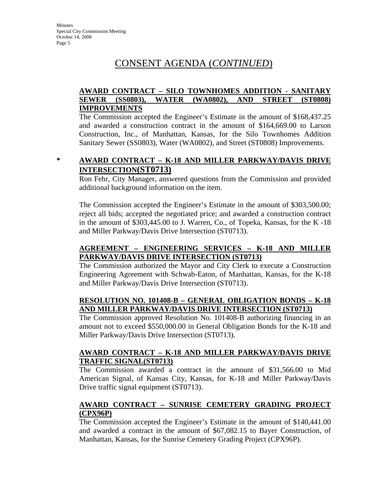### **AWARD CONTRACT – SILO TOWNHOMES ADDITION - SANITARY SEWER (SS0803), WATER (WA0802), AND STREET (ST0808) IMPROVEMENTS**

The Commission accepted the Engineer's Estimate in the amount of \$168,437.25 and awarded a construction contract in the amount of \$164,669.00 to Larson Construction, Inc., of Manhattan, Kansas, for the Silo Townhomes Addition Sanitary Sewer (SS0803), Water (WA0802), and Street (ST0808) Improvements.

### **\* AWARD CONTRACT – K-18 AND MILLER PARKWAY/DAVIS DRIVE INTERSECTION(ST0713)**

Ron Fehr, City Manager, answered questions from the Commission and provided additional background information on the item.

The Commission accepted the Engineer's Estimate in the amount of \$303,500.00; reject all bids; accepted the negotiated price; and awarded a construction contract in the amount of \$303,445.00 to J. Warren, Co., of Topeka, Kansas, for the K -18 and Miller Parkway/Davis Drive Intersection (ST0713).

### **AGREEMENT – ENGINEERING SERVICES – K-18 AND MILLER PARKWAY/DAVIS DRIVE INTERSECTION (ST0713)**

The Commission authorized the Mayor and City Clerk to execute a Construction Engineering Agreement with Schwab-Eaton, of Manhattan, Kansas, for the K-18 and Miller Parkway/Davis Drive Intersection (ST0713).

### **RESOLUTION NO. 101408-B – GENERAL OBLIGATION BONDS – K-18 AND MILLER PARKWAY/DAVIS DRIVE INTERSECTION (ST0713)**

The Commission approved Resolution No. 101408-B authorizing financing in an amount not to exceed \$550,000.00 in General Obligation Bonds for the K-18 and Miller Parkway/Davis Drive Intersection (ST0713).

### **AWARD CONTRACT – K-18 AND MILLER PARKWAY/DAVIS DRIVE TRAFFIC SIGNAL(ST0713)**

The Commission awarded a contract in the amount of \$31,566.00 to Mid American Signal, of Kansas City, Kansas, for K-18 and Miller Parkway/Davis Drive traffic signal equipment (ST0713).

### **AWARD CONTRACT – SUNRISE CEMETERY GRADING PROJECT (CPX96P)**

The Commission accepted the Engineer's Estimate in the amount of \$140,441.00 and awarded a contract in the amount of \$67,082.15 to Bayer Construction, of Manhattan, Kansas, for the Sunrise Cemetery Grading Project (CPX96P).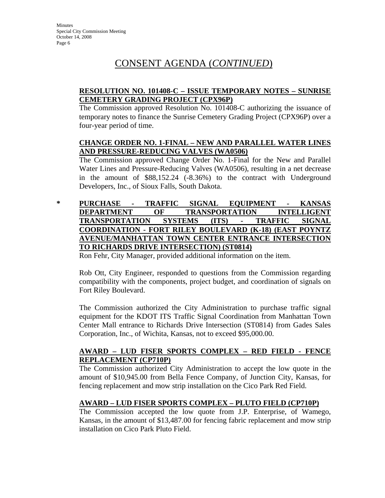### **RESOLUTION NO. 101408-C – ISSUE TEMPORARY NOTES – SUNRISE CEMETERY GRADING PROJECT (CPX96P)**

The Commission approved Resolution No. 101408-C authorizing the issuance of temporary notes to finance the Sunrise Cemetery Grading Project (CPX96P) over a four-year period of time.

### **CHANGE ORDER NO. 1-FINAL – NEW AND PARALLEL WATER LINES AND PRESSURE-REDUCING VALVES (WA0506)**

The Commission approved Change Order No. 1-Final for the New and Parallel Water Lines and Pressure-Reducing Valves (WA0506), resulting in a net decrease in the amount of \$88,152.24 (-8.36%) to the contract with Underground Developers, Inc., of Sioux Falls, South Dakota.

### **\* PURCHASE - TRAFFIC SIGNAL EQUIPMENT - KANSAS DEPARTMENT OF TRANSPORTATION INTELLIGENT TRANSPORTATION SYSTEMS (ITS) - TRAFFIC SIGNAL COORDINATION - FORT RILEY BOULEVARD (K-18) (EAST POYNTZ AVENUE/MANHATTAN TOWN CENTER ENTRANCE INTERSECTION TO RICHARDS DRIVE INTERSECTION) (ST0814)**

Ron Fehr, City Manager, provided additional information on the item.

Rob Ott, City Engineer, responded to questions from the Commission regarding compatibility with the components, project budget, and coordination of signals on Fort Riley Boulevard.

The Commission authorized the City Administration to purchase traffic signal equipment for the KDOT ITS Traffic Signal Coordination from Manhattan Town Center Mall entrance to Richards Drive Intersection (ST0814) from Gades Sales Corporation, Inc., of Wichita, Kansas, not to exceed \$95,000.00.

### **AWARD – LUD FISER SPORTS COMPLEX – RED FIELD - FENCE REPLACEMENT (CP710P)**

The Commission authorized City Administration to accept the low quote in the amount of \$10,945.00 from Bella Fence Company, of Junction City, Kansas, for fencing replacement and mow strip installation on the Cico Park Red Field.

### **AWARD – LUD FISER SPORTS COMPLEX – PLUTO FIELD (CP710P)**

The Commission accepted the low quote from J.P. Enterprise, of Wamego, Kansas, in the amount of \$13,487.00 for fencing fabric replacement and mow strip installation on Cico Park Pluto Field.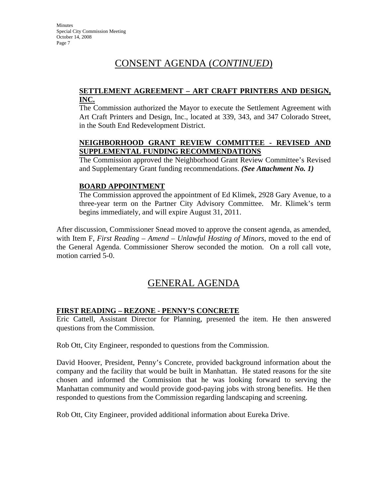#### **SETTLEMENT AGREEMENT – ART CRAFT PRINTERS AND DESIGN, INC.**

The Commission authorized the Mayor to execute the Settlement Agreement with Art Craft Printers and Design, Inc., located at 339, 343, and 347 Colorado Street, in the South End Redevelopment District.

### **NEIGHBORHOOD GRANT REVIEW COMMITTEE - REVISED AND SUPPLEMENTAL FUNDING RECOMMENDATIONS**

The Commission approved the Neighborhood Grant Review Committee's Revised and Supplementary Grant funding recommendations. *(See Attachment No. 1)*

### **BOARD APPOINTMENT**

The Commission approved the appointment of Ed Klimek, 2928 Gary Avenue, to a three-year term on the Partner City Advisory Committee. Mr. Klimek's term begins immediately, and will expire August 31, 2011.

After discussion, Commissioner Snead moved to approve the consent agenda, as amended, with Item F, *First Reading – Amend – Unlawful Hosting of Minors*, moved to the end of the General Agenda. Commissioner Sherow seconded the motion. On a roll call vote, motion carried 5-0.

# GENERAL AGENDA

### **FIRST READING – REZONE - PENNY'S CONCRETE**

Eric Cattell, Assistant Director for Planning, presented the item. He then answered questions from the Commission.

Rob Ott, City Engineer, responded to questions from the Commission.

David Hoover, President, Penny's Concrete, provided background information about the company and the facility that would be built in Manhattan. He stated reasons for the site chosen and informed the Commission that he was looking forward to serving the Manhattan community and would provide good-paying jobs with strong benefits. He then responded to questions from the Commission regarding landscaping and screening.

Rob Ott, City Engineer, provided additional information about Eureka Drive.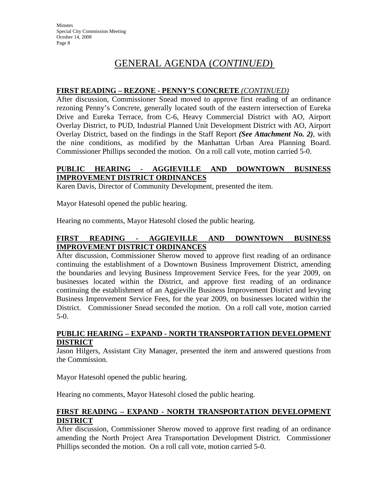# GENERAL AGENDA (*CONTINUED*)

### **FIRST READING – REZONE - PENNY'S CONCRETE** *(CONTINUED)*

After discussion, Commissioner Snead moved to approve first reading of an ordinance rezoning Penny's Concrete, generally located south of the eastern intersection of Eureka Drive and Eureka Terrace, from C-6, Heavy Commercial District with AO, Airport Overlay District, to PUD, Industrial Planned Unit Development District with AO, Airport Overlay District, based on the findings in the Staff Report *(See Attachment No. 2)*, with the nine conditions, as modified by the Manhattan Urban Area Planning Board. Commissioner Phillips seconded the motion. On a roll call vote, motion carried 5-0.

### **PUBLIC HEARING - AGGIEVILLE AND DOWNTOWN BUSINESS IMPROVEMENT DISTRICT ORDINANCES**

Karen Davis, Director of Community Development, presented the item.

Mayor Hatesohl opened the public hearing.

Hearing no comments, Mayor Hatesohl closed the public hearing.

### **FIRST READING - AGGIEVILLE AND DOWNTOWN BUSINESS IMPROVEMENT DISTRICT ORDINANCES**

After discussion, Commissioner Sherow moved to approve first reading of an ordinance continuing the establishment of a Downtown Business Improvement District, amending the boundaries and levying Business Improvement Service Fees, for the year 2009, on businesses located within the District, and approve first reading of an ordinance continuing the establishment of an Aggieville Business Improvement District and levying Business Improvement Service Fees, for the year 2009, on businesses located within the District. Commissioner Snead seconded the motion. On a roll call vote, motion carried 5-0.

### **PUBLIC HEARING – EXPAND - NORTH TRANSPORTATION DEVELOPMENT DISTRICT**

Jason Hilgers, Assistant City Manager, presented the item and answered questions from the Commission.

Mayor Hatesohl opened the public hearing.

Hearing no comments, Mayor Hatesohl closed the public hearing.

#### **FIRST READING – EXPAND - NORTH TRANSPORTATION DEVELOPMENT DISTRICT**

After discussion, Commissioner Sherow moved to approve first reading of an ordinance amending the North Project Area Transportation Development District. Commissioner Phillips seconded the motion. On a roll call vote, motion carried 5-0.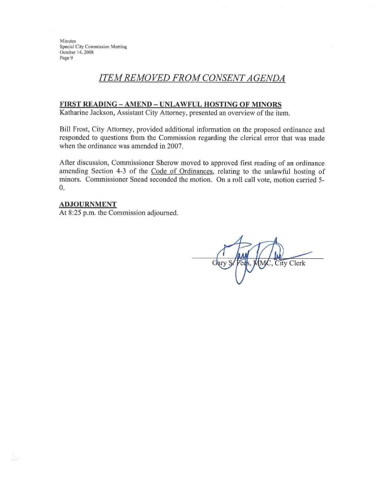Minutes Special City Commission Meeting October 14, 2008 Page 9

### **ITEM REMOVED FROM CONSENT AGENDA**

#### FIRST READING - AMEND - UNLAWFUL HOSTING OF MINORS

Katharine Jackson, Assistant City Attorney, presented an overview of the item.

Bill Frost, City Attorney, provided additional information on the proposed ordinance and responded to questions from the Commission regarding the clerical error that was made when the ordinance was amended in 2007.

After discussion, Commissioner Sherow moved to approved first reading of an ordinance amending Section 4-3 of the Code of Ordinances, relating to the unlawful hosting of minors. Commissioner Snead seconded the motion. On a roll call vote, motion carried 5- $\overline{0}$ .

#### **ADJOURNMENT**

At 8:25 p.m. the Commission adjourned.

Gary City Clerk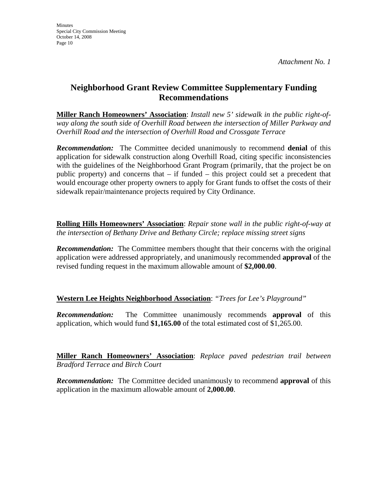### **Neighborhood Grant Review Committee Supplementary Funding Recommendations**

**Miller Ranch Homeowners' Association**: *Install new 5' sidewalk in the public right-ofway along the south side of Overhill Road between the intersection of Miller Parkway and Overhill Road and the intersection of Overhill Road and Crossgate Terrace* 

*Recommendation:* The Committee decided unanimously to recommend **denial** of this application for sidewalk construction along Overhill Road, citing specific inconsistencies with the guidelines of the Neighborhood Grant Program (primarily, that the project be on public property) and concerns that  $-$  if funded  $-$  this project could set a precedent that would encourage other property owners to apply for Grant funds to offset the costs of their sidewalk repair/maintenance projects required by City Ordinance.

**Rolling Hills Homeowners' Association**: *Repair stone wall in the public right-of-way at the intersection of Bethany Drive and Bethany Circle; replace missing street signs*

**Recommendation:** The Committee members thought that their concerns with the original application were addressed appropriately, and unanimously recommended **approval** of the revised funding request in the maximum allowable amount of **\$2,000.00**.

**Western Lee Heights Neighborhood Association**: *"Trees for Lee's Playground"*

*Recommendation:* The Committee unanimously recommends **approval** of this application, which would fund **\$1,165.00** of the total estimated cost of \$1,265.00.

**Miller Ranch Homeowners' Association**: *Replace paved pedestrian trail between Bradford Terrace and Birch Court* 

*Recommendation:* The Committee decided unanimously to recommend **approval** of this application in the maximum allowable amount of **2,000.00**.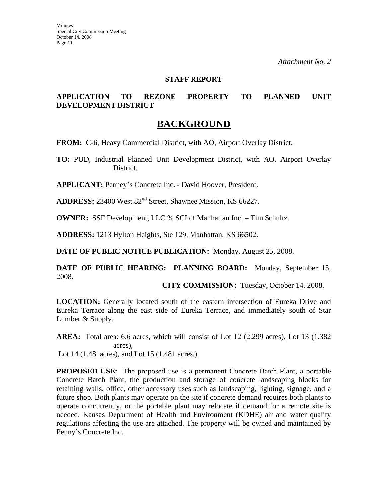#### **STAFF REPORT**

### **APPLICATION TO REZONE PROPERTY TO PLANNED UNIT DEVELOPMENT DISTRICT**

### **BACKGROUND**

**FROM:** C-6, Heavy Commercial District, with AO, Airport Overlay District.

**TO:** PUD, Industrial Planned Unit Development District, with AO, Airport Overlay District.

**APPLICANT:** Penney's Concrete Inc. - David Hoover, President.

**ADDRESS:** 23400 West 82<sup>nd</sup> Street, Shawnee Mission, KS 66227.

**OWNER:** SSF Development, LLC % SCI of Manhattan Inc. – Tim Schultz.

**ADDRESS:** 1213 Hylton Heights, Ste 129, Manhattan, KS 66502.

**DATE OF PUBLIC NOTICE PUBLICATION:** Monday, August 25, 2008.

**DATE OF PUBLIC HEARING: PLANNING BOARD:** Monday, September 15, 2008.

**CITY COMMISSION:** Tuesday, October 14, 2008.

**LOCATION:** Generally located south of the eastern intersection of Eureka Drive and Eureka Terrace along the east side of Eureka Terrace, and immediately south of Star Lumber & Supply.

**AREA:** Total area: 6.6 acres, which will consist of Lot 12 (2.299 acres), Lot 13 (1.382 acres),

Lot 14 (1.481acres), and Lot 15 (1.481 acres.)

**PROPOSED USE:** The proposed use is a permanent Concrete Batch Plant, a portable Concrete Batch Plant, the production and storage of concrete landscaping blocks for retaining walls, office, other accessory uses such as landscaping, lighting, signage, and a future shop. Both plants may operate on the site if concrete demand requires both plants to operate concurrently, or the portable plant may relocate if demand for a remote site is needed. Kansas Department of Health and Environment (KDHE) air and water quality regulations affecting the use are attached. The property will be owned and maintained by Penny's Concrete Inc.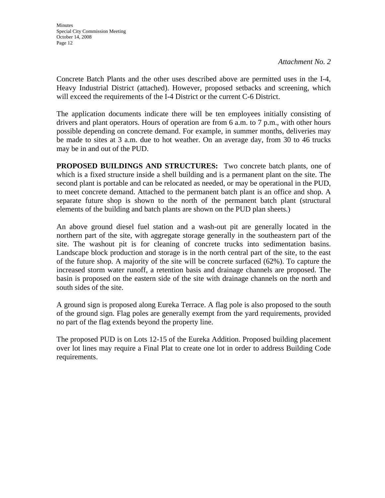Concrete Batch Plants and the other uses described above are permitted uses in the I-4, Heavy Industrial District (attached). However, proposed setbacks and screening, which will exceed the requirements of the I-4 District or the current C-6 District.

The application documents indicate there will be ten employees initially consisting of drivers and plant operators. Hours of operation are from 6 a.m. to 7 p.m., with other hours possible depending on concrete demand. For example, in summer months, deliveries may be made to sites at 3 a.m. due to hot weather. On an average day, from 30 to 46 trucks may be in and out of the PUD.

**PROPOSED BUILDINGS AND STRUCTURES:** Two concrete batch plants, one of which is a fixed structure inside a shell building and is a permanent plant on the site. The second plant is portable and can be relocated as needed, or may be operational in the PUD, to meet concrete demand. Attached to the permanent batch plant is an office and shop. A separate future shop is shown to the north of the permanent batch plant (structural elements of the building and batch plants are shown on the PUD plan sheets.)

An above ground diesel fuel station and a wash-out pit are generally located in the northern part of the site, with aggregate storage generally in the southeastern part of the site. The washout pit is for cleaning of concrete trucks into sedimentation basins. Landscape block production and storage is in the north central part of the site, to the east of the future shop. A majority of the site will be concrete surfaced (62%). To capture the increased storm water runoff, a retention basis and drainage channels are proposed. The basin is proposed on the eastern side of the site with drainage channels on the north and south sides of the site.

A ground sign is proposed along Eureka Terrace. A flag pole is also proposed to the south of the ground sign. Flag poles are generally exempt from the yard requirements, provided no part of the flag extends beyond the property line.

The proposed PUD is on Lots 12-15 of the Eureka Addition. Proposed building placement over lot lines may require a Final Plat to create one lot in order to address Building Code requirements.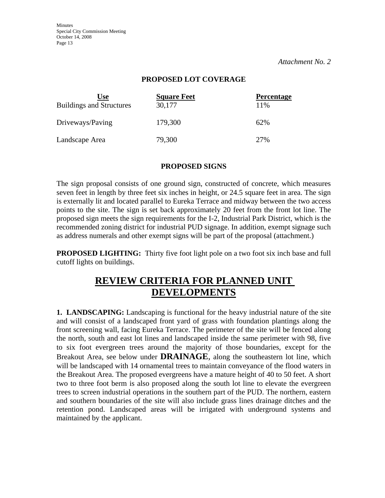Minutes Special City Commission Meeting October 14, 2008 Page 13

*Attachment No. 2* 

#### **PROPOSED LOT COVERAGE**

| <b>Use</b><br><b>Buildings and Structures</b> | <b>Square Feet</b><br>30,177 | <b>Percentage</b><br>11% |
|-----------------------------------------------|------------------------------|--------------------------|
| Driveways/Paving                              | 179,300                      | 62%                      |
| Landscape Area                                | 79,300                       | 27%                      |

#### **PROPOSED SIGNS**

The sign proposal consists of one ground sign, constructed of concrete, which measures seven feet in length by three feet six inches in height, or 24.5 square feet in area. The sign is externally lit and located parallel to Eureka Terrace and midway between the two access points to the site. The sign is set back approximately 20 feet from the front lot line. The proposed sign meets the sign requirements for the I-2, Industrial Park District, which is the recommended zoning district for industrial PUD signage. In addition, exempt signage such as address numerals and other exempt signs will be part of the proposal (attachment.)

**PROPOSED LIGHTING:** Thirty five foot light pole on a two foot six inch base and full cutoff lights on buildings.

### **REVIEW CRITERIA FOR PLANNED UNIT DEVELOPMENTS**

**1. LANDSCAPING:** Landscaping is functional for the heavy industrial nature of the site and will consist of a landscaped front yard of grass with foundation plantings along the front screening wall, facing Eureka Terrace. The perimeter of the site will be fenced along the north, south and east lot lines and landscaped inside the same perimeter with 98, five to six foot evergreen trees around the majority of those boundaries, except for the Breakout Area, see below under **DRAINAGE**, along the southeastern lot line, which will be landscaped with 14 ornamental trees to maintain conveyance of the flood waters in the Breakout Area. The proposed evergreens have a mature height of 40 to 50 feet. A short two to three foot berm is also proposed along the south lot line to elevate the evergreen trees to screen industrial operations in the southern part of the PUD. The northern, eastern and southern boundaries of the site will also include grass lines drainage ditches and the retention pond. Landscaped areas will be irrigated with underground systems and maintained by the applicant.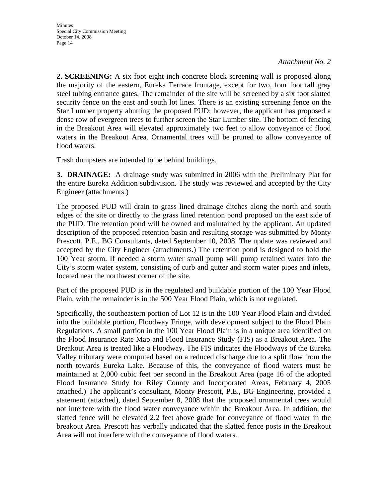**2. SCREENING:** A six foot eight inch concrete block screening wall is proposed along the majority of the eastern, Eureka Terrace frontage, except for two, four foot tall gray steel tubing entrance gates. The remainder of the site will be screened by a six foot slatted security fence on the east and south lot lines. There is an existing screening fence on the Star Lumber property abutting the proposed PUD; however, the applicant has proposed a dense row of evergreen trees to further screen the Star Lumber site. The bottom of fencing in the Breakout Area will elevated approximately two feet to allow conveyance of flood waters in the Breakout Area. Ornamental trees will be pruned to allow conveyance of flood waters.

Trash dumpsters are intended to be behind buildings.

**3. DRAINAGE:** A drainage study was submitted in 2006 with the Preliminary Plat for the entire Eureka Addition subdivision. The study was reviewed and accepted by the City Engineer (attachments.)

The proposed PUD will drain to grass lined drainage ditches along the north and south edges of the site or directly to the grass lined retention pond proposed on the east side of the PUD. The retention pond will be owned and maintained by the applicant. An updated description of the proposed retention basin and resulting storage was submitted by Monty Prescott, P.E., BG Consultants, dated September 10, 2008. The update was reviewed and accepted by the City Engineer (attachments.) The retention pond is designed to hold the 100 Year storm. If needed a storm water small pump will pump retained water into the City's storm water system, consisting of curb and gutter and storm water pipes and inlets, located near the northwest corner of the site.

Part of the proposed PUD is in the regulated and buildable portion of the 100 Year Flood Plain, with the remainder is in the 500 Year Flood Plain, which is not regulated.

Specifically, the southeastern portion of Lot 12 is in the 100 Year Flood Plain and divided into the buildable portion, Floodway Fringe, with development subject to the Flood Plain Regulations. A small portion in the 100 Year Flood Plain is in a unique area identified on the Flood Insurance Rate Map and Flood Insurance Study (FIS) as a Breakout Area. The Breakout Area is treated like a Floodway. The FIS indicates the Floodways of the Eureka Valley tributary were computed based on a reduced discharge due to a split flow from the north towards Eureka Lake. Because of this, the conveyance of flood waters must be maintained at 2,000 cubic feet per second in the Breakout Area (page 16 of the adopted Flood Insurance Study for Riley County and Incorporated Areas, February 4, 2005 attached.) The applicant's consultant, Monty Prescott, P.E., BG Engineering, provided a statement (attached), dated September 8, 2008 that the proposed ornamental trees would not interfere with the flood water conveyance within the Breakout Area. In addition, the slatted fence will be elevated 2.2 feet above grade for conveyance of flood water in the breakout Area. Prescott has verbally indicated that the slatted fence posts in the Breakout Area will not interfere with the conveyance of flood waters.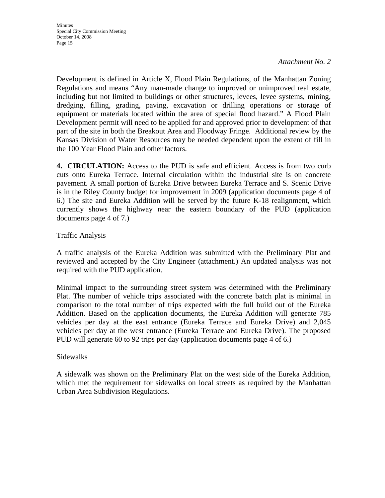Development is defined in Article X, Flood Plain Regulations, of the Manhattan Zoning Regulations and means "Any man-made change to improved or unimproved real estate, including but not limited to buildings or other structures, levees, levee systems, mining, dredging, filling, grading, paving, excavation or drilling operations or storage of equipment or materials located within the area of special flood hazard." A Flood Plain Development permit will need to be applied for and approved prior to development of that part of the site in both the Breakout Area and Floodway Fringe. Additional review by the Kansas Division of Water Resources may be needed dependent upon the extent of fill in the 100 Year Flood Plain and other factors.

**4. CIRCULATION:** Access to the PUD is safe and efficient. Access is from two curb cuts onto Eureka Terrace. Internal circulation within the industrial site is on concrete pavement. A small portion of Eureka Drive between Eureka Terrace and S. Scenic Drive is in the Riley County budget for improvement in 2009 (application documents page 4 of 6.) The site and Eureka Addition will be served by the future K-18 realignment, which currently shows the highway near the eastern boundary of the PUD (application documents page 4 of 7.)

### Traffic Analysis

A traffic analysis of the Eureka Addition was submitted with the Preliminary Plat and reviewed and accepted by the City Engineer (attachment.) An updated analysis was not required with the PUD application.

Minimal impact to the surrounding street system was determined with the Preliminary Plat. The number of vehicle trips associated with the concrete batch plat is minimal in comparison to the total number of trips expected with the full build out of the Eureka Addition. Based on the application documents, the Eureka Addition will generate 785 vehicles per day at the east entrance (Eureka Terrace and Eureka Drive) and 2,045 vehicles per day at the west entrance (Eureka Terrace and Eureka Drive). The proposed PUD will generate 60 to 92 trips per day (application documents page 4 of 6.)

### Sidewalks

A sidewalk was shown on the Preliminary Plat on the west side of the Eureka Addition, which met the requirement for sidewalks on local streets as required by the Manhattan Urban Area Subdivision Regulations.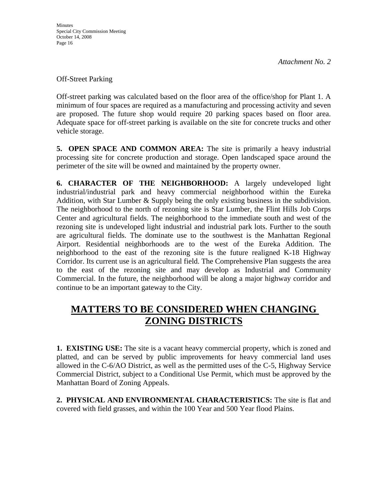Off-Street Parking

Off-street parking was calculated based on the floor area of the office/shop for Plant 1. A minimum of four spaces are required as a manufacturing and processing activity and seven are proposed. The future shop would require 20 parking spaces based on floor area. Adequate space for off-street parking is available on the site for concrete trucks and other vehicle storage.

**5. OPEN SPACE AND COMMON AREA:** The site is primarily a heavy industrial processing site for concrete production and storage. Open landscaped space around the perimeter of the site will be owned and maintained by the property owner.

**6. CHARACTER OF THE NEIGHBORHOOD:** A largely undeveloped light industrial/industrial park and heavy commercial neighborhood within the Eureka Addition, with Star Lumber & Supply being the only existing business in the subdivision. The neighborhood to the north of rezoning site is Star Lumber, the Flint Hills Job Corps Center and agricultural fields. The neighborhood to the immediate south and west of the rezoning site is undeveloped light industrial and industrial park lots. Further to the south are agricultural fields. The dominate use to the southwest is the Manhattan Regional Airport. Residential neighborhoods are to the west of the Eureka Addition. The neighborhood to the east of the rezoning site is the future realigned K-18 Highway Corridor. Its current use is an agricultural field. The Comprehensive Plan suggests the area to the east of the rezoning site and may develop as Industrial and Community Commercial. In the future, the neighborhood will be along a major highway corridor and continue to be an important gateway to the City.

# **MATTERS TO BE CONSIDERED WHEN CHANGING ZONING DISTRICTS**

**1. EXISTING USE:** The site is a vacant heavy commercial property, which is zoned and platted, and can be served by public improvements for heavy commercial land uses allowed in the C-6/AO District, as well as the permitted uses of the C-5, Highway Service Commercial District, subject to a Conditional Use Permit, which must be approved by the Manhattan Board of Zoning Appeals.

**2. PHYSICAL AND ENVIRONMENTAL CHARACTERISTICS:** The site is flat and covered with field grasses, and within the 100 Year and 500 Year flood Plains.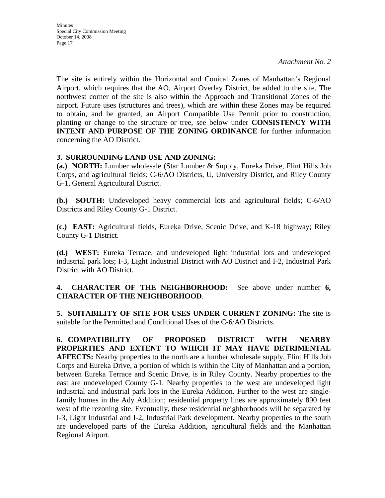The site is entirely within the Horizontal and Conical Zones of Manhattan's Regional Airport, which requires that the AO, Airport Overlay District, be added to the site. The northwest corner of the site is also within the Approach and Transitional Zones of the airport. Future uses (structures and trees), which are within these Zones may be required to obtain, and be granted, an Airport Compatible Use Permit prior to construction, planting or change to the structure or tree, see below under **CONSISTENCY WITH INTENT AND PURPOSE OF THE ZONING ORDINANCE** for further information concerning the AO District.

### **3. SURROUNDING LAND USE AND ZONING:**

**(a.) NORTH:** Lumber wholesale (Star Lumber & Supply, Eureka Drive, Flint Hills Job Corps, and agricultural fields; C-6/AO Districts, U, University District, and Riley County G-1, General Agricultural District.

**(b.) SOUTH:** Undeveloped heavy commercial lots and agricultural fields; C-6/AO Districts and Riley County G-1 District.

**(c.) EAST:** Agricultural fields, Eureka Drive, Scenic Drive, and K-18 highway; Riley County G-1 District.

**(d.) WEST:** Eureka Terrace, and undeveloped light industrial lots and undeveloped industrial park lots; I-3, Light Industrial District with AO District and I-2, Industrial Park District with AO District.

### **4. CHARACTER OF THE NEIGHBORHOOD:** See above under number **6, CHARACTER OF THE NEIGHBORHOOD**.

**5. SUITABILITY OF SITE FOR USES UNDER CURRENT ZONING:** The site is suitable for the Permitted and Conditional Uses of the C-6/AO Districts.

**6. COMPATIBILITY OF PROPOSED DISTRICT WITH NEARBY PROPERTIES AND EXTENT TO WHICH IT MAY HAVE DETRIMENTAL AFFECTS:** Nearby properties to the north are a lumber wholesale supply, Flint Hills Job Corps and Eureka Drive, a portion of which is within the City of Manhattan and a portion, between Eureka Terrace and Scenic Drive, is in Riley County. Nearby properties to the east are undeveloped County G-1. Nearby properties to the west are undeveloped light industrial and industrial park lots in the Eureka Addition. Further to the west are singlefamily homes in the Ady Addition; residential property lines are approximately 890 feet west of the rezoning site. Eventually, these residential neighborhoods will be separated by I-3, Light Industrial and I-2, Industrial Park development. Nearby properties to the south are undeveloped parts of the Eureka Addition, agricultural fields and the Manhattan Regional Airport.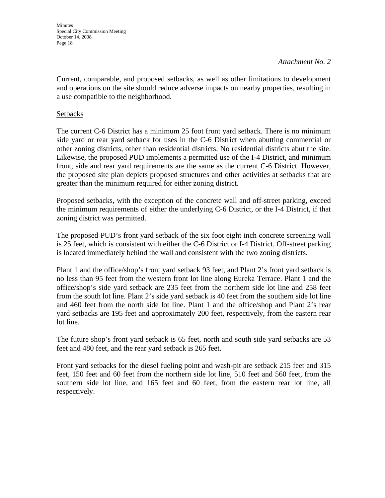Minutes Special City Commission Meeting October 14, 2008 Page 18

#### *Attachment No. 2*

Current, comparable, and proposed setbacks, as well as other limitations to development and operations on the site should reduce adverse impacts on nearby properties, resulting in a use compatible to the neighborhood.

#### **Setbacks**

The current C-6 District has a minimum 25 foot front yard setback. There is no minimum side yard or rear yard setback for uses in the C-6 District when abutting commercial or other zoning districts, other than residential districts. No residential districts abut the site. Likewise, the proposed PUD implements a permitted use of the I-4 District, and minimum front, side and rear yard requirements are the same as the current C-6 District. However, the proposed site plan depicts proposed structures and other activities at setbacks that are greater than the minimum required for either zoning district.

Proposed setbacks, with the exception of the concrete wall and off-street parking, exceed the minimum requirements of either the underlying C-6 District, or the I-4 District, if that zoning district was permitted.

The proposed PUD's front yard setback of the six foot eight inch concrete screening wall is 25 feet, which is consistent with either the C-6 District or I-4 District. Off-street parking is located immediately behind the wall and consistent with the two zoning districts.

Plant 1 and the office/shop's front yard setback 93 feet, and Plant 2's front yard setback is no less than 95 feet from the western front lot line along Eureka Terrace. Plant 1 and the office/shop's side yard setback are 235 feet from the northern side lot line and 258 feet from the south lot line. Plant 2's side yard setback is 40 feet from the southern side lot line and 460 feet from the north side lot line. Plant 1 and the office/shop and Plant 2's rear yard setbacks are 195 feet and approximately 200 feet, respectively, from the eastern rear lot line.

The future shop's front yard setback is 65 feet, north and south side yard setbacks are 53 feet and 480 feet, and the rear yard setback is 265 feet.

Front yard setbacks for the diesel fueling point and wash-pit are setback 215 feet and 315 feet, 150 feet and 60 feet from the northern side lot line, 510 feet and 560 feet, from the southern side lot line, and 165 feet and 60 feet, from the eastern rear lot line, all respectively.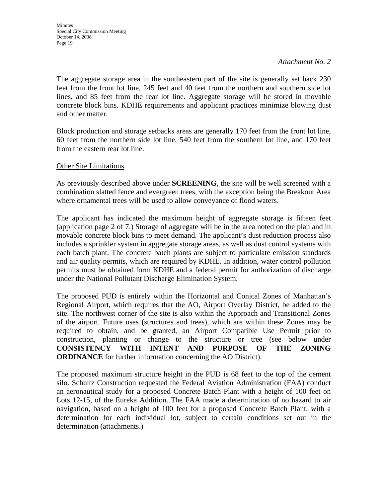The aggregate storage area in the southeastern part of the site is generally set back 230 feet from the front lot line, 245 feet and 40 feet from the northern and southern side lot lines, and 85 feet from the rear lot line. Aggregate storage will be stored in movable concrete block bins. KDHE requirements and applicant practices minimize blowing dust and other matter.

Block production and storage setbacks areas are generally 170 feet from the front lot line, 60 feet from the northern side lot line, 540 feet from the southern lot line, and 170 feet from the eastern rear lot line.

#### Other Site Limitations

As previously described above under **SCREENING**, the site will be well screened with a combination slatted fence and evergreen trees, with the exception being the Breakout Area where ornamental trees will be used to allow conveyance of flood waters.

The applicant has indicated the maximum height of aggregate storage is fifteen feet (application page 2 of 7.) Storage of aggregate will be in the area noted on the plan and in movable concrete block bins to meet demand. The applicant's dust reduction process also includes a sprinkler system in aggregate storage areas, as well as dust control systems with each batch plant. The concrete batch plants are subject to particulate emission standards and air quality permits, which are required by KDHE. In addition, water control pollution permits must be obtained form KDHE and a federal permit for authorization of discharge under the National Pollutant Discharge Elimination System.

The proposed PUD is entirely within the Horizontal and Conical Zones of Manhattan's Regional Airport, which requires that the AO, Airport Overlay District, be added to the site. The northwest corner of the site is also within the Approach and Transitional Zones of the airport. Future uses (structures and trees), which are within these Zones may be required to obtain, and be granted, an Airport Compatible Use Permit prior to construction, planting or change to the structure or tree (see below under **CONSISTENCY WITH INTENT AND PURPOSE OF THE ZONING ORDINANCE** for further information concerning the AO District).

The proposed maximum structure height in the PUD is 68 feet to the top of the cement silo. Schultz Construction requested the Federal Aviation Administration (FAA) conduct an aeronautical study for a proposed Concrete Batch Plant with a height of 100 feet on Lots 12-15, of the Eureka Addition. The FAA made a determination of no hazard to air navigation, based on a height of 100 feet for a proposed Concrete Batch Plant, with a determination for each individual lot, subject to certain conditions set out in the determination (attachments.)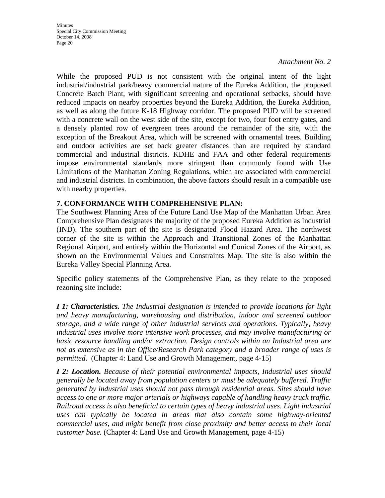While the proposed PUD is not consistent with the original intent of the light industrial/industrial park/heavy commercial nature of the Eureka Addition, the proposed Concrete Batch Plant, with significant screening and operational setbacks, should have reduced impacts on nearby properties beyond the Eureka Addition, the Eureka Addition, as well as along the future K-18 Highway corridor. The proposed PUD will be screened with a concrete wall on the west side of the site, except for two, four foot entry gates, and a densely planted row of evergreen trees around the remainder of the site, with the exception of the Breakout Area, which will be screened with ornamental trees. Building and outdoor activities are set back greater distances than are required by standard commercial and industrial districts. KDHE and FAA and other federal requirements impose environmental standards more stringent than commonly found with Use Limitations of the Manhattan Zoning Regulations, which are associated with commercial and industrial districts. In combination, the above factors should result in a compatible use with nearby properties.

### **7. CONFORMANCE WITH COMPREHENSIVE PLAN:**

The Southwest Planning Area of the Future Land Use Map of the Manhattan Urban Area Comprehensive Plan designates the majority of the proposed Eureka Addition as Industrial (IND). The southern part of the site is designated Flood Hazard Area. The northwest corner of the site is within the Approach and Transitional Zones of the Manhattan Regional Airport, and entirely within the Horizontal and Conical Zones of the Airport, as shown on the Environmental Values and Constraints Map. The site is also within the Eureka Valley Special Planning Area.

Specific policy statements of the Comprehensive Plan, as they relate to the proposed rezoning site include:

*I 1: Characteristics. The Industrial designation is intended to provide locations for light and heavy manufacturing, warehousing and distribution, indoor and screened outdoor storage, and a wide range of other industrial services and operations. Typically, heavy industrial uses involve more intensive work processes, and may involve manufacturing or basic resource handling and/or extraction. Design controls within an Industrial area are not as extensive as in the Office/Research Park category and a broader range of uses is permitted*. (Chapter 4: Land Use and Growth Management, page 4-15)

*I 2: Location. Because of their potential environmental impacts, Industrial uses should generally be located away from population centers or must be adequately buffered. Traffic generated by industrial uses should not pass through residential areas. Sites should have access to one or more major arterials or highways capable of handling heavy truck traffic. Railroad access is also beneficial to certain types of heavy industrial uses. Light industrial uses can typically be located in areas that also contain some highway-oriented commercial uses, and might benefit from close proximity and better access to their local customer base.* (Chapter 4: Land Use and Growth Management, page 4-15)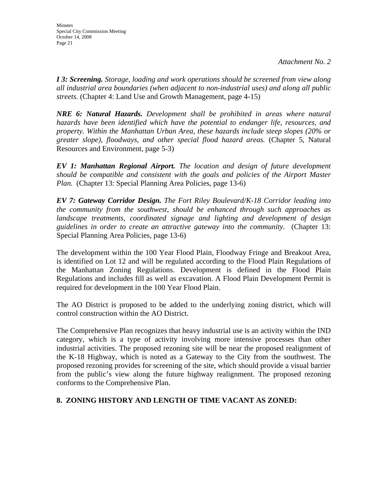*I 3: Screening. Storage, loading and work operations should be screened from view along all industrial area boundaries (when adjacent to non-industrial uses) and along all public streets.* (Chapter 4: Land Use and Growth Management, page 4-15)

*NRE 6: Natural Hazards. Development shall be prohibited in areas where natural hazards have been identified which have the potential to endanger life, resources, and property. Within the Manhattan Urban Area, these hazards include steep slopes (20% or greater slope), floodways, and other special flood hazard areas.* (Chapter 5, Natural Resources and Environment, page 5-3)

*EV 1: Manhattan Regional Airport. The location and design of future development should be compatible and consistent with the goals and policies of the Airport Master Plan.* (Chapter 13: Special Planning Area Policies, page 13-6)

*EV 7: Gateway Corridor Design. The Fort Riley Boulevard/K-18 Corridor leading into the community from the southwest, should be enhanced through such approaches as landscape treatments, coordinated signage and lighting and development of design guidelines in order to create an attractive gateway into the community.* (Chapter 13: Special Planning Area Policies, page 13-6)

The development within the 100 Year Flood Plain, Floodway Fringe and Breakout Area, is identified on Lot 12 and will be regulated according to the Flood Plain Regulations of the Manhattan Zoning Regulations. Development is defined in the Flood Plain Regulations and includes fill as well as excavation. A Flood Plain Development Permit is required for development in the 100 Year Flood Plain.

The AO District is proposed to be added to the underlying zoning district, which will control construction within the AO District.

The Comprehensive Plan recognizes that heavy industrial use is an activity within the IND category, which is a type of activity involving more intensive processes than other industrial activities. The proposed rezoning site will be near the proposed realignment of the K-18 Highway, which is noted as a Gateway to the City from the southwest. The proposed rezoning provides for screening of the site, which should provide a visual barrier from the public's view along the future highway realignment. The proposed rezoning conforms to the Comprehensive Plan.

### **8. ZONING HISTORY AND LENGTH OF TIME VACANT AS ZONED:**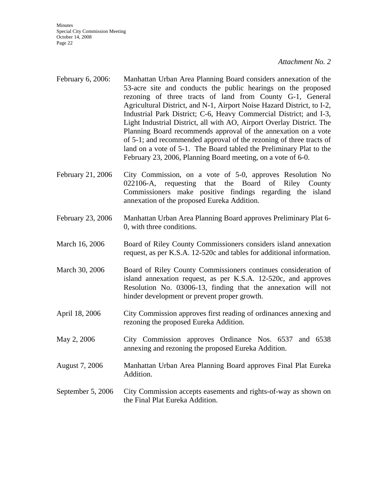Minutes Special City Commission Meeting October 14, 2008 Page 22

#### *Attachment No. 2*

- February 6, 2006: Manhattan Urban Area Planning Board considers annexation of the 53-acre site and conducts the public hearings on the proposed rezoning of three tracts of land from County G-1, General Agricultural District, and N-1, Airport Noise Hazard District, to I-2, Industrial Park District; C-6, Heavy Commercial District; and I-3, Light Industrial District, all with AO, Airport Overlay District. The Planning Board recommends approval of the annexation on a vote of 5-1; and recommended approval of the rezoning of three tracts of land on a vote of 5-1. The Board tabled the Preliminary Plat to the February 23, 2006, Planning Board meeting, on a vote of 6-0.
- February 21, 2006 City Commission, on a vote of 5-0, approves Resolution No 022106-A, requesting that the Board of Riley County Commissioners make positive findings regarding the island annexation of the proposed Eureka Addition.
- February 23, 2006 Manhattan Urban Area Planning Board approves Preliminary Plat 6- 0, with three conditions.
- March 16, 2006 Board of Riley County Commissioners considers island annexation request, as per K.S.A. 12-520c and tables for additional information.
- March 30, 2006 Board of Riley County Commissioners continues consideration of island annexation request, as per K.S.A. 12-520c, and approves Resolution No. 03006-13, finding that the annexation will not hinder development or prevent proper growth.
- April 18, 2006 City Commission approves first reading of ordinances annexing and rezoning the proposed Eureka Addition.
- May 2, 2006 City Commission approves Ordinance Nos. 6537 and 6538 annexing and rezoning the proposed Eureka Addition.
- August 7, 2006 Manhattan Urban Area Planning Board approves Final Plat Eureka Addition.
- September 5, 2006 City Commission accepts easements and rights-of-way as shown on the Final Plat Eureka Addition.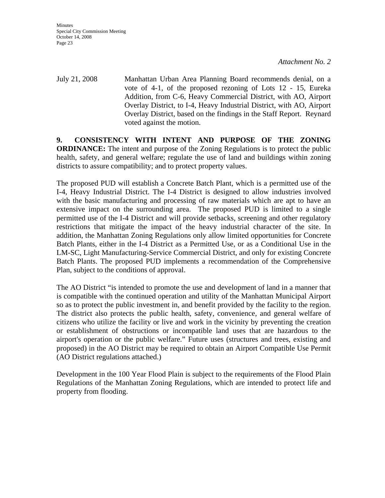July 21, 2008 Manhattan Urban Area Planning Board recommends denial, on a vote of 4-1, of the proposed rezoning of Lots 12 - 15, Eureka Addition, from C-6, Heavy Commercial District, with AO, Airport Overlay District, to I-4, Heavy Industrial District, with AO, Airport Overlay District, based on the findings in the Staff Report. Reynard voted against the motion.

**9. CONSISTENCY WITH INTENT AND PURPOSE OF THE ZONING ORDINANCE:** The intent and purpose of the Zoning Regulations is to protect the public health, safety, and general welfare; regulate the use of land and buildings within zoning districts to assure compatibility; and to protect property values.

The proposed PUD will establish a Concrete Batch Plant, which is a permitted use of the I-4, Heavy Industrial District. The I-4 District is designed to allow industries involved with the basic manufacturing and processing of raw materials which are apt to have an extensive impact on the surrounding area. The proposed PUD is limited to a single permitted use of the I-4 District and will provide setbacks, screening and other regulatory restrictions that mitigate the impact of the heavy industrial character of the site. In addition, the Manhattan Zoning Regulations only allow limited opportunities for Concrete Batch Plants, either in the I-4 District as a Permitted Use, or as a Conditional Use in the LM-SC, Light Manufacturing-Service Commercial District, and only for existing Concrete Batch Plants. The proposed PUD implements a recommendation of the Comprehensive Plan, subject to the conditions of approval.

The AO District "is intended to promote the use and development of land in a manner that is compatible with the continued operation and utility of the Manhattan Municipal Airport so as to protect the public investment in, and benefit provided by the facility to the region. The district also protects the public health, safety, convenience, and general welfare of citizens who utilize the facility or live and work in the vicinity by preventing the creation or establishment of obstructions or incompatible land uses that are hazardous to the airport's operation or the public welfare." Future uses (structures and trees, existing and proposed) in the AO District may be required to obtain an Airport Compatible Use Permit (AO District regulations attached.)

Development in the 100 Year Flood Plain is subject to the requirements of the Flood Plain Regulations of the Manhattan Zoning Regulations, which are intended to protect life and property from flooding.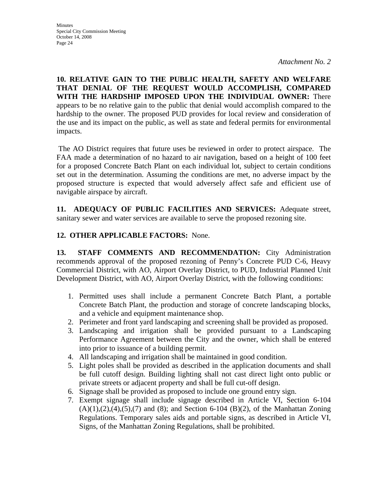**10. RELATIVE GAIN TO THE PUBLIC HEALTH, SAFETY AND WELFARE THAT DENIAL OF THE REQUEST WOULD ACCOMPLISH, COMPARED WITH THE HARDSHIP IMPOSED UPON THE INDIVIDUAL OWNER:** There appears to be no relative gain to the public that denial would accomplish compared to the hardship to the owner. The proposed PUD provides for local review and consideration of the use and its impact on the public, as well as state and federal permits for environmental impacts.

 The AO District requires that future uses be reviewed in order to protect airspace. The FAA made a determination of no hazard to air navigation, based on a height of 100 feet for a proposed Concrete Batch Plant on each individual lot, subject to certain conditions set out in the determination. Assuming the conditions are met, no adverse impact by the proposed structure is expected that would adversely affect safe and efficient use of navigable airspace by aircraft.

**11. ADEQUACY OF PUBLIC FACILITIES AND SERVICES:** Adequate street, sanitary sewer and water services are available to serve the proposed rezoning site.

### **12. OTHER APPLICABLE FACTORS:** None.

**13. STAFF COMMENTS AND RECOMMENDATION:** City Administration recommends approval of the proposed rezoning of Penny's Concrete PUD C-6, Heavy Commercial District, with AO, Airport Overlay District, to PUD, Industrial Planned Unit Development District, with AO, Airport Overlay District, with the following conditions:

- 1. Permitted uses shall include a permanent Concrete Batch Plant, a portable Concrete Batch Plant, the production and storage of concrete landscaping blocks, and a vehicle and equipment maintenance shop.
- 2. Perimeter and front yard landscaping and screening shall be provided as proposed.
- 3. Landscaping and irrigation shall be provided pursuant to a Landscaping Performance Agreement between the City and the owner, which shall be entered into prior to issuance of a building permit.
- 4. All landscaping and irrigation shall be maintained in good condition.
- 5. Light poles shall be provided as described in the application documents and shall be full cutoff design. Building lighting shall not cast direct light onto public or private streets or adjacent property and shall be full cut-off design.
- 6. Signage shall be provided as proposed to include one ground entry sign.
- 7. Exempt signage shall include signage described in Article VI, Section 6-104  $(A)(1),(2),(4),(5),(7)$  and  $(8)$ ; and Section 6-104  $(B)(2)$ , of the Manhattan Zoning Regulations. Temporary sales aids and portable signs, as described in Article VI, Signs, of the Manhattan Zoning Regulations, shall be prohibited.